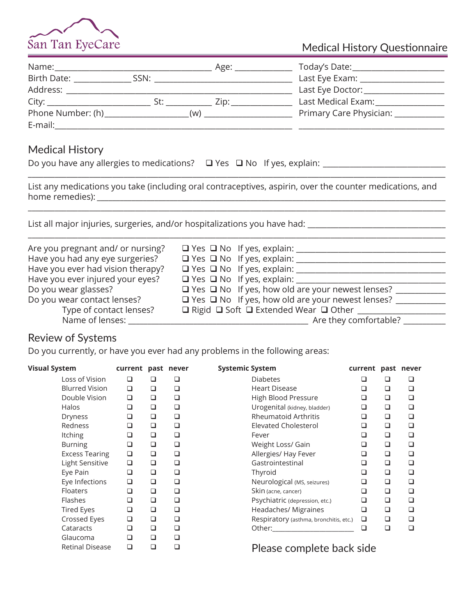

## Medical History Questionnaire

| Name:                                                                                                                                                                                                                         |      | Age: | Today's Date:                      |
|-------------------------------------------------------------------------------------------------------------------------------------------------------------------------------------------------------------------------------|------|------|------------------------------------|
| Birth Date:                                                                                                                                                                                                                   | SSN: |      | Last Eye Exam: _____________       |
| Address:                                                                                                                                                                                                                      |      |      | Last Eye Doctor: National Assembly |
| City: City: City: City: City: City: City: City: City: City: City: City: City: City: City: City: City: City: City: City: City: City: City: City: City: City: City: City: City: City: City: City: City: City: City: City: City: | St۰  | Zip: | Last Medical Exam:                 |
| Phone Number: (h)                                                                                                                                                                                                             |      | (w)  | Primary Care Physician:            |
| E-mail:                                                                                                                                                                                                                       |      |      |                                    |

## Medical History

| Do you have any allergies to medications? $\Box$ Yes $\Box$ No If yes, explain: |  |  |
|---------------------------------------------------------------------------------|--|--|
|---------------------------------------------------------------------------------|--|--|

List any medications you take (including oral contraceptives, aspirin, over the counter medications, and home remedies): \_\_\_\_\_\_\_\_\_\_\_\_\_\_\_\_\_\_\_\_\_\_\_\_\_\_\_\_\_\_\_\_\_\_\_\_\_\_\_\_\_\_\_\_\_\_\_\_\_\_\_\_\_\_\_\_\_\_\_\_\_\_\_\_\_\_\_\_\_\_\_\_\_\_\_\_\_\_\_\_\_\_\_\_\_\_\_\_\_\_\_

 $\_$  ,  $\_$  ,  $\_$  ,  $\_$  ,  $\_$  ,  $\_$  ,  $\_$  ,  $\_$  ,  $\_$  ,  $\_$  ,  $\_$  ,  $\_$  ,  $\_$  ,  $\_$  ,  $\_$  ,  $\_$  ,  $\_$  ,  $\_$  ,  $\_$  ,  $\_$  ,  $\_$  ,  $\_$  ,  $\_$  ,  $\_$  ,  $\_$  ,  $\_$  ,  $\_$  ,  $\_$  ,  $\_$  ,  $\_$  ,  $\_$  ,  $\_$  ,  $\_$  ,  $\_$  ,  $\_$  ,  $\_$  ,  $\_$  ,

\_\_\_\_\_\_\_\_\_\_\_\_\_\_\_\_\_\_\_\_\_\_\_\_\_\_\_\_\_\_\_\_\_\_\_\_\_\_\_\_\_\_\_\_\_\_\_\_\_\_\_\_\_\_\_\_\_\_\_\_\_\_\_\_\_\_\_\_\_\_\_\_\_\_\_\_\_\_\_\_\_\_\_\_\_\_\_\_\_\_\_\_\_\_\_\_\_\_\_\_\_\_\_\_\_\_\_\_\_

List all major injuries, surgeries, and/or hospitalizations you have had: \_\_\_\_\_\_\_\_\_\_\_\_\_\_\_\_\_\_\_\_\_\_\_\_\_\_\_\_\_\_\_\_\_\_\_\_

| Are you pregnant and/ or nursing? | $\Box$ Yes $\Box$ No If yes, explain:                        |
|-----------------------------------|--------------------------------------------------------------|
| Have you had any eye surgeries?   | $\Box$ Yes $\Box$ No If yes, explain:                        |
| Have you ever had vision therapy? | $\Box$ Yes $\Box$ No If yes, explain:                        |
| Have you ever injured your eyes?  | $\Box$ Yes $\Box$ No If yes, explain:                        |
| Do you wear glasses?              | $\Box$ Yes $\Box$ No If yes, how old are your newest lenses? |
| Do you wear contact lenses?       | $\Box$ Yes $\Box$ No If yes, how old are your newest lenses? |
| Type of contact lenses?           | □ Rigid □ Soft □ Extended Wear □ Other                       |
| Name of lenses:                   | Are they comfortable?                                        |

\_\_\_\_\_\_\_\_\_\_\_\_\_\_\_\_\_\_\_\_\_\_\_\_\_\_\_\_\_\_\_\_\_\_\_\_\_\_\_\_\_\_\_\_\_\_\_\_\_\_\_\_\_\_\_\_\_\_\_\_\_\_\_\_\_\_\_\_\_\_\_\_\_\_\_\_\_\_\_\_\_\_\_\_\_\_\_\_\_\_\_\_\_\_\_\_\_\_\_\_\_\_\_\_\_\_\_\_\_

## Review of Systems

Do you currently, or have you ever had any problems in the following areas:

| <b>Visual System</b>   | current past never |        |        | <b>Systemic System</b>                                                                                                                                                                                                        | current |        | past never |
|------------------------|--------------------|--------|--------|-------------------------------------------------------------------------------------------------------------------------------------------------------------------------------------------------------------------------------|---------|--------|------------|
| Loss of Vision         | ❏                  | □      | ❏      | <b>Diabetes</b>                                                                                                                                                                                                               | ப       | □      | □          |
| <b>Blurred Vision</b>  | $\Box$             | $\Box$ | $\Box$ | <b>Heart Disease</b>                                                                                                                                                                                                          | □       | $\Box$ | $\Box$     |
| Double Vision          | $\Box$             | $\Box$ | □      | High Blood Pressure                                                                                                                                                                                                           | □       | $\Box$ | □          |
| Halos                  | □                  | ❏      | ❏      | Urogenital (kidney, bladder)                                                                                                                                                                                                  | ❏       | ❏      | □          |
| <b>Dryness</b>         | ❏                  | $\Box$ | $\Box$ | <b>Rheumatoid Arthritis</b>                                                                                                                                                                                                   | ❏       | □      | $\Box$     |
| Redness                | □                  | ❏      | □      | <b>Elevated Cholesterol</b>                                                                                                                                                                                                   | □       | $\Box$ | $\Box$     |
| <b>Itching</b>         | ❏                  | $\Box$ | $\Box$ | Fever                                                                                                                                                                                                                         | ◻       | □      | □          |
| <b>Burning</b>         | ❏                  | $\Box$ | $\Box$ | Weight Loss/ Gain                                                                                                                                                                                                             | ❏       | $\Box$ | $\Box$     |
| <b>Excess Tearing</b>  | $\Box$             | $\Box$ | $\Box$ | Allergies/ Hay Fever                                                                                                                                                                                                          | □       | $\Box$ | $\Box$     |
| Light Sensitive        | $\Box$             | □      | $\Box$ | Gastrointestinal                                                                                                                                                                                                              | ❏       | □      | □          |
| Eye Pain               | ❏                  | $\Box$ | $\Box$ | Thyroid                                                                                                                                                                                                                       | ❏       | $\Box$ | □          |
| Eye Infections         | $\Box$             | $\Box$ | $\Box$ | Neurological (MS, seizures)                                                                                                                                                                                                   | □       | $\Box$ | □          |
| <b>Floaters</b>        | □                  | □      | □      | Skin (acne, cancer)                                                                                                                                                                                                           | ❏       | □      | □          |
| Flashes                | ❏                  | $\Box$ | ❏      | Psychiatric (depression, etc.)                                                                                                                                                                                                | □       | $\Box$ | □          |
| <b>Tired Eyes</b>      | $\Box$             | $\Box$ | $\Box$ | Headaches/ Migraines                                                                                                                                                                                                          | ❏       | □      | □          |
| Crossed Eyes           | □                  | □      | □      | Respiratory (asthma, bronchitis, etc.)                                                                                                                                                                                        | □       | □      | □          |
| Cataracts              | ❏                  | $\Box$ | $\Box$ | Other: when the control of the control of the control of the control of the control of the control of the control of the control of the control of the control of the control of the control of the control of the control of | ◻       | $\Box$ | □          |
| Glaucoma               | □                  | $\Box$ | $\Box$ |                                                                                                                                                                                                                               |         |        |            |
| <b>Retinal Disease</b> | ❏                  | □      | ❏      | Please complete back side                                                                                                                                                                                                     |         |        |            |